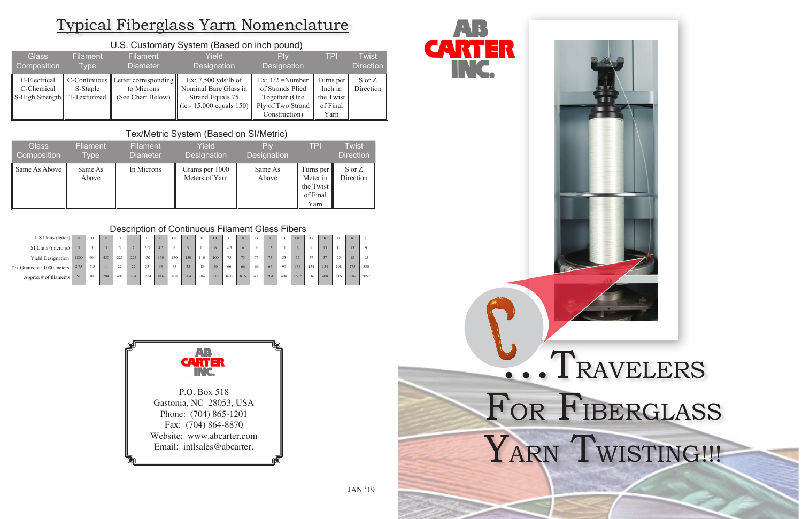| <b>Glass</b>                                  | <b>Filament</b>          | <b>Filament</b>                                                          | Yield                                                                                                              | Plv                                                                     | <b>TPI</b>                                            | Twist               |
|-----------------------------------------------|--------------------------|--------------------------------------------------------------------------|--------------------------------------------------------------------------------------------------------------------|-------------------------------------------------------------------------|-------------------------------------------------------|---------------------|
| Composition                                   | Type                     | <b>Diameter</b>                                                          | <b>Designation</b>                                                                                                 | Designation                                                             |                                                       | <b>Direction</b>    |
| E-Electrical<br>C-Chemical<br>S-High Strength | S-Staple<br>T-Texturized | $ C$ -Continuous Letter corresponding<br>to Microns<br>(See Chart Below) | Ex: $7,500$ yds/lb of<br>Nominal Bare Glass in<br>Strand Equals 75<br>(ie - 15,000 equals 150)   Ply of Two Strand | Ex: $1/2$ =Number<br>of Strands Plied<br>Together (One<br>Construction) | Turns per<br>Inch in<br>the Twist<br>of Final<br>Yarn | S or Z<br>Direction |

### U.S. Customary System (Based on inch pound)

| <b>Glass</b>  | <b>Filament</b>  | <b>Filament</b> | Yield                            | Plv                | <b>TPI</b>                                             | <b>Twist</b>        |
|---------------|------------------|-----------------|----------------------------------|--------------------|--------------------------------------------------------|---------------------|
| Composition   | Type             | Diameter        | Designation                      | <b>Designation</b> |                                                        | <b>Direction</b>    |
| Same As Above | Same As<br>Above | In Microns      | Grams per 1000<br>Meters of Yarn | Same As<br>Above   | Turns per<br>Meter in<br>the Twist<br>of Final<br>Yarn | S or Z<br>Direction |

#### Tex/Metric System (Based on SI/Metric)

| US Units (letter)         |      |     | D   |     | E.  | B    | $\sim$ | DE         | G        | H   | <b>DE</b> | C    | DE  | G   | K.              |     | <b>DE</b> | G        | K               | H   | TZ<br>K. | G        |
|---------------------------|------|-----|-----|-----|-----|------|--------|------------|----------|-----|-----------|------|-----|-----|-----------------|-----|-----------|----------|-----------------|-----|----------|----------|
| SI Units (microns)        |      |     |     |     |     | 3.5  | 4.5    | $^{\circ}$ | $\Omega$ |     |           | 4.5  | 6   |     |                 |     |           | $\Omega$ | 13 <sup>°</sup> | 11  |          | $\Omega$ |
| <b>Yield Designation</b>  | 1800 | 900 | 450 | 225 | 225 | 150  | 150    | 150        | 150      | 110 | 100       | 75   | 75  | 75  | 75 <sup>°</sup> | 55  | 37        | 37       | 37              | 25  | 18       | 15       |
| Tex Grams per 1000 meters | 2.75 | 5.5 | 11  | 22  | 22  | 33   | 33     | 33         | 33       | 45  | 50        | 66   | 66  | 66  | 66              | 90  | 134       | 134      | 134             | 198 | 275      | 330      |
| Approx # of filaments     | 51   | 102 | 204 | 408 | 204 | 1224 | 816    | 408        | 204      | 204 | 612       | 1632 | 816 | 408 | 204             | 408 | 1632      | 816      | 408             | 816 | 816      | 2052     |

## Typical Fiberglass Yarn Nomenclature



#### Description of Continuous Filament Glass Fibers

# S. TRAVELERS FOR FIBERGLASS YARN TWISTING!!!